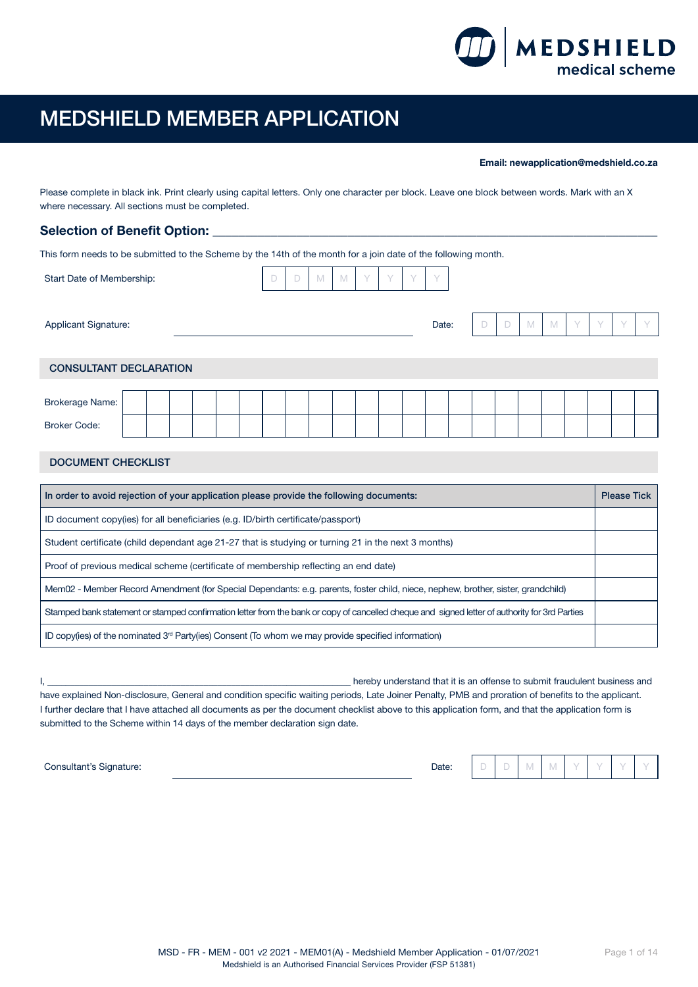

# MEDSHIELD MEMBER APPLICATION

Email: newapplication@medshield.co.za

Please complete in black ink. Print clearly using capital letters. Only one character per block. Leave one block between words. Mark with an X where necessary. All sections must be completed.

# Selection of Benefit Option: \_

This form needs to be submitted to the Scheme by the 14th of the month for a join date of the following month.

| Start Date of Membership:     |  |  |  | D | D | M | M | Y | Y | $\vee$ | $\vee$ |  |   |   |   |        |           |           |
|-------------------------------|--|--|--|---|---|---|---|---|---|--------|--------|--|---|---|---|--------|-----------|-----------|
| Applicant Signature:          |  |  |  |   |   |   |   |   |   |        | Date:  |  | D | M | M | $\vee$ | $\sqrt{}$ | $\sqrt{}$ |
| <b>CONSULTANT DECLARATION</b> |  |  |  |   |   |   |   |   |   |        |        |  |   |   |   |        |           |           |
|                               |  |  |  |   |   |   |   |   |   |        |        |  |   |   |   |        |           |           |
| <b>Brokerage Name:</b>        |  |  |  |   |   |   |   |   |   |        |        |  |   |   |   |        |           |           |
| <b>Broker Code:</b>           |  |  |  |   |   |   |   |   |   |        |        |  |   |   |   |        |           |           |
|                               |  |  |  |   |   |   |   |   |   |        |        |  |   |   |   |        |           |           |

# DOCUMENT CHECKLIST

| In order to avoid rejection of your application please provide the following documents:                                                        | <b>Please Tick</b> |
|------------------------------------------------------------------------------------------------------------------------------------------------|--------------------|
| ID document copy(ies) for all beneficiaries (e.g. ID/birth certificate/passport)                                                               |                    |
| Student certificate (child dependant age 21-27 that is studying or turning 21 in the next 3 months)                                            |                    |
| Proof of previous medical scheme (certificate of membership reflecting an end date)                                                            |                    |
| Mem02 - Member Record Amendment (for Special Dependants: e.g. parents, foster child, niece, nephew, brother, sister, grandchild)               |                    |
| Stamped bank statement or stamped confirmation letter from the bank or copy of cancelled cheque and signed letter of authority for 3rd Parties |                    |
| ID copy(ies) of the nominated $3rd$ Party(ies) Consent (To whom we may provide specified information)                                          |                    |

I, \_\_\_\_\_\_\_\_\_\_\_\_\_\_\_\_\_\_\_\_\_\_\_\_\_\_\_\_\_\_\_\_\_\_\_\_\_\_\_\_\_\_\_\_\_\_\_\_\_\_\_\_\_\_\_\_\_\_\_\_\_\_\_\_\_\_ hereby understand that it is an offense to submit fraudulent business and have explained Non-disclosure, General and condition specific waiting periods, Late Joiner Penalty, PMB and proration of benefits to the applicant. I further declare that I have attached all documents as per the document checklist above to this application form, and that the application form is submitted to the Scheme within 14 days of the member declaration sign date.

 $\blacksquare$ Consultant's Signature:  $\blacksquare$ 

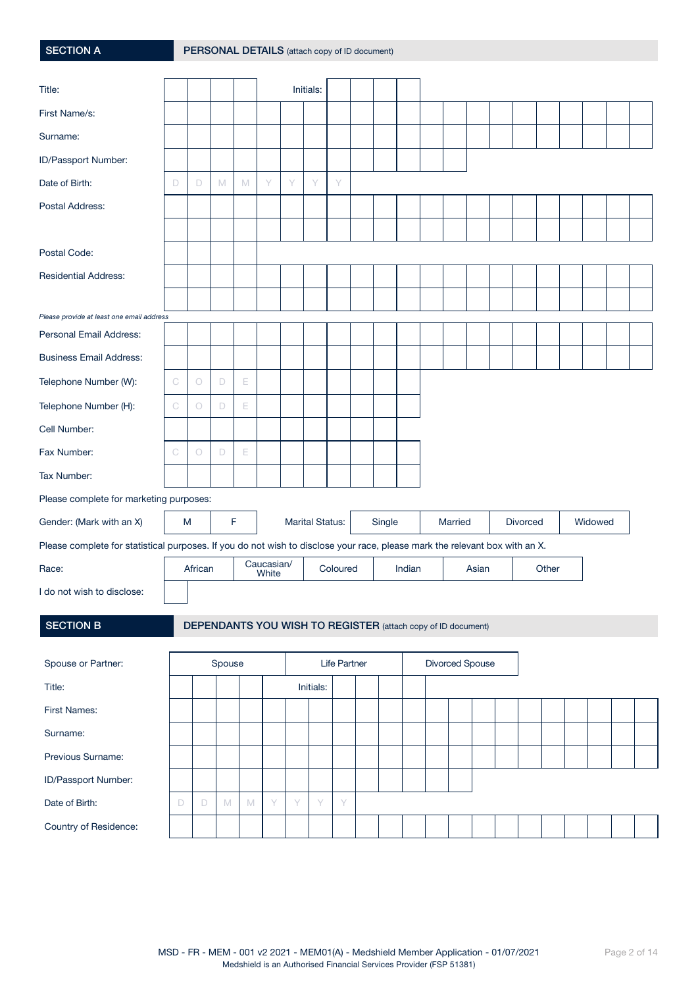| <b>SECTION A</b>                                                                                                            |   |         |        |   |                     |   |                        | PERSONAL DETAILS (attach copy of ID document)                       |        |        |         |                 |          |       |  |         |  |
|-----------------------------------------------------------------------------------------------------------------------------|---|---------|--------|---|---------------------|---|------------------------|---------------------------------------------------------------------|--------|--------|---------|-----------------|----------|-------|--|---------|--|
| Title:                                                                                                                      |   |         |        |   |                     |   | Initials:              |                                                                     |        |        |         |                 |          |       |  |         |  |
| First Name/s:                                                                                                               |   |         |        |   |                     |   |                        |                                                                     |        |        |         |                 |          |       |  |         |  |
| Surname:                                                                                                                    |   |         |        |   |                     |   |                        |                                                                     |        |        |         |                 |          |       |  |         |  |
| ID/Passport Number:                                                                                                         |   |         |        |   |                     |   |                        |                                                                     |        |        |         |                 |          |       |  |         |  |
| Date of Birth:                                                                                                              | D | D       | M      | M | Y                   | Y | Y                      | Y                                                                   |        |        |         |                 |          |       |  |         |  |
| Postal Address:                                                                                                             |   |         |        |   |                     |   |                        |                                                                     |        |        |         |                 |          |       |  |         |  |
|                                                                                                                             |   |         |        |   |                     |   |                        |                                                                     |        |        |         |                 |          |       |  |         |  |
| Postal Code:                                                                                                                |   |         |        |   |                     |   |                        |                                                                     |        |        |         |                 |          |       |  |         |  |
| <b>Residential Address:</b>                                                                                                 |   |         |        |   |                     |   |                        |                                                                     |        |        |         |                 |          |       |  |         |  |
|                                                                                                                             |   |         |        |   |                     |   |                        |                                                                     |        |        |         |                 |          |       |  |         |  |
| Please provide at least one email address                                                                                   |   |         |        |   |                     |   |                        |                                                                     |        |        |         |                 |          |       |  |         |  |
| Personal Email Address:                                                                                                     |   |         |        |   |                     |   |                        |                                                                     |        |        |         |                 |          |       |  |         |  |
| <b>Business Email Address:</b>                                                                                              |   |         |        |   |                     |   |                        |                                                                     |        |        |         |                 |          |       |  |         |  |
| Telephone Number (W):                                                                                                       | C | $\circ$ | D      | E |                     |   |                        |                                                                     |        |        |         |                 |          |       |  |         |  |
| Telephone Number (H):                                                                                                       | C | $\circ$ | D      | Е |                     |   |                        |                                                                     |        |        |         |                 |          |       |  |         |  |
| Cell Number:                                                                                                                |   |         |        |   |                     |   |                        |                                                                     |        |        |         |                 |          |       |  |         |  |
| Fax Number:                                                                                                                 | C | $\circ$ | D      | E |                     |   |                        |                                                                     |        |        |         |                 |          |       |  |         |  |
| Tax Number:                                                                                                                 |   |         |        |   |                     |   |                        |                                                                     |        |        |         |                 |          |       |  |         |  |
| Please complete for marketing purposes:                                                                                     |   |         |        |   |                     |   |                        |                                                                     |        |        |         |                 |          |       |  |         |  |
| Gender: (Mark with an X)                                                                                                    | M |         | F      |   |                     |   | <b>Marital Status:</b> |                                                                     | Single |        | Married |                 | Divorced |       |  | Widowed |  |
| Please complete for statistical purposes. If you do not wish to disclose your race, please mark the relevant box with an X. |   |         |        |   |                     |   |                        |                                                                     |        |        |         |                 |          |       |  |         |  |
| Race:                                                                                                                       |   | African |        |   | Caucasian/<br>White |   |                        | Coloured                                                            |        | Indian |         | Asian           |          | Other |  |         |  |
| I do not wish to disclose:                                                                                                  |   |         |        |   |                     |   |                        |                                                                     |        |        |         |                 |          |       |  |         |  |
| <b>SECTION B</b>                                                                                                            |   |         |        |   |                     |   |                        | <b>DEPENDANTS YOU WISH TO REGISTER</b> (attach copy of ID document) |        |        |         |                 |          |       |  |         |  |
| Spouse or Partner:                                                                                                          |   |         | Spouse |   |                     |   |                        | Life Partner                                                        |        |        |         | Divorced Spouse |          |       |  |         |  |
| Title:                                                                                                                      |   |         |        |   |                     |   | Initials:              |                                                                     |        |        |         |                 |          |       |  |         |  |
| <b>First Names:</b>                                                                                                         |   |         |        |   |                     |   |                        |                                                                     |        |        |         |                 |          |       |  |         |  |

Surname:

Previous Surname:

ID/Passport Number:

Country of Residence:

Date of Birth:  $D = D M M N Y Y Y Y Y$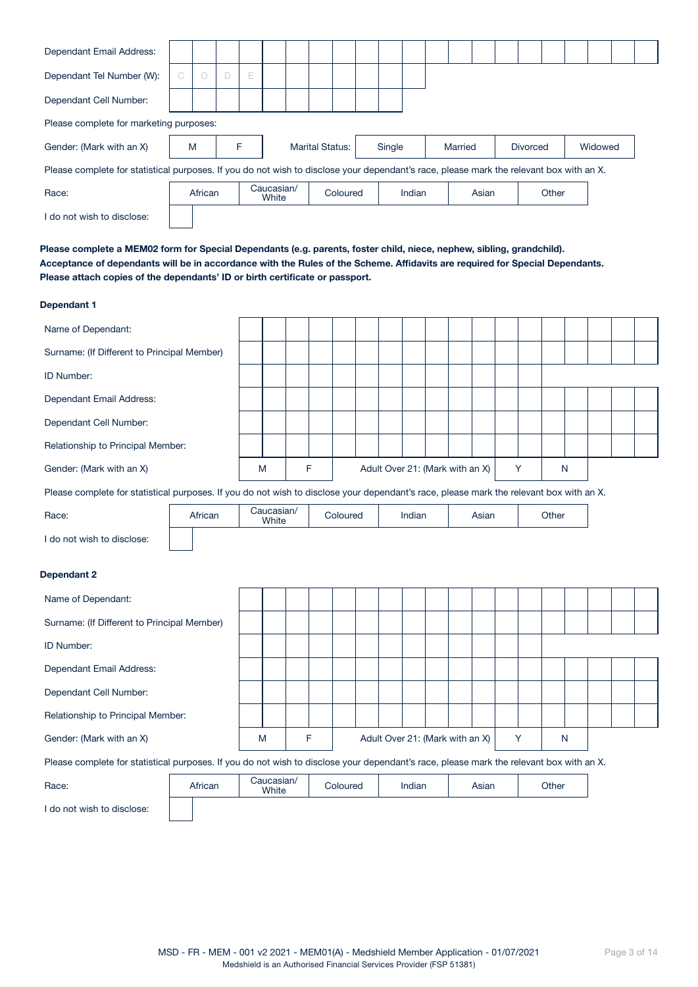| Dependant Email Address:                                                                                                                |    |         |   |   |                     |  |                        |        |        |         |       |                 |       |         |  |
|-----------------------------------------------------------------------------------------------------------------------------------------|----|---------|---|---|---------------------|--|------------------------|--------|--------|---------|-------|-----------------|-------|---------|--|
| Dependant Tel Number (W):                                                                                                               | C. | $\circ$ |   | Е |                     |  |                        |        |        |         |       |                 |       |         |  |
| Dependant Cell Number:                                                                                                                  |    |         |   |   |                     |  |                        |        |        |         |       |                 |       |         |  |
| Please complete for marketing purposes:                                                                                                 |    |         |   |   |                     |  |                        |        |        |         |       |                 |       |         |  |
| Gender: (Mark with an X)                                                                                                                | M  |         | F |   |                     |  | <b>Marital Status:</b> | Single |        | Married |       | <b>Divorced</b> |       | Widowed |  |
|                                                                                                                                         |    |         |   |   |                     |  |                        |        |        |         |       |                 |       |         |  |
| Please complete for statistical purposes. If you do not wish to disclose your dependant's race, please mark the relevant box with an X. |    |         |   |   |                     |  |                        |        |        |         |       |                 |       |         |  |
| Race:                                                                                                                                   |    | African |   |   | Caucasian/<br>White |  | Coloured               |        | Indian |         | Asian |                 | Other |         |  |

Please complete a MEM02 form for Special Dependants (e.g. parents, foster child, niece, nephew, sibling, grandchild). Acceptance of dependants will be in accordance with the Rules of the Scheme. Affidavits are required for Special Dependants. Please attach copies of the dependants' ID or birth certificate or passport.

## Dependant 1

| Name of Dependant:                                                                                                                      |         |                     |   |          |                                 |        |  |       |   |       |  |  |
|-----------------------------------------------------------------------------------------------------------------------------------------|---------|---------------------|---|----------|---------------------------------|--------|--|-------|---|-------|--|--|
| Surname: (If Different to Principal Member)                                                                                             |         |                     |   |          |                                 |        |  |       |   |       |  |  |
| ID Number:                                                                                                                              |         |                     |   |          |                                 |        |  |       |   |       |  |  |
| Dependant Email Address:                                                                                                                |         |                     |   |          |                                 |        |  |       |   |       |  |  |
| Dependant Cell Number:                                                                                                                  |         |                     |   |          |                                 |        |  |       |   |       |  |  |
| Relationship to Principal Member:                                                                                                       |         |                     |   |          |                                 |        |  |       |   |       |  |  |
| Gender: (Mark with an X)                                                                                                                |         | M                   | F |          | Adult Over 21: (Mark with an X) |        |  |       | Y | N     |  |  |
| Please complete for statistical purposes. If you do not wish to disclose your dependant's race, please mark the relevant box with an X. |         |                     |   |          |                                 |        |  |       |   |       |  |  |
| Race:                                                                                                                                   | African | Caucasian/<br>White |   | Coloured |                                 | Indian |  | Asian |   | Other |  |  |
| I do not wish to disclose:                                                                                                              |         |                     |   |          |                                 |        |  |       |   |       |  |  |
| Dependant 2                                                                                                                             |         |                     |   |          |                                 |        |  |       |   |       |  |  |
| Name of Dependant:                                                                                                                      |         |                     |   |          |                                 |        |  |       |   |       |  |  |
| Surname: (If Different to Principal Member)                                                                                             |         |                     |   |          |                                 |        |  |       |   |       |  |  |
| ID Number:                                                                                                                              |         |                     |   |          |                                 |        |  |       |   |       |  |  |
| Dependant Email Address:                                                                                                                |         |                     |   |          |                                 |        |  |       |   |       |  |  |
| Dependant Cell Number:                                                                                                                  |         |                     |   |          |                                 |        |  |       |   |       |  |  |
| Relationship to Principal Member:                                                                                                       |         |                     |   |          |                                 |        |  |       |   |       |  |  |
| Gender: (Mark with an X)                                                                                                                |         | M                   | F |          | Adult Over 21: (Mark with an X) |        |  |       | Y | N     |  |  |
| Please complete for statistical purposes. If you do not wish to disclose your dependant's race, please mark the relevant box with an X. |         |                     |   |          |                                 |        |  |       |   |       |  |  |
| Race:                                                                                                                                   | African | Caucasian/<br>White |   | Coloured |                                 | Indian |  | Asian |   | Other |  |  |
| I do not wish to disclose:                                                                                                              |         |                     |   |          |                                 |        |  |       |   |       |  |  |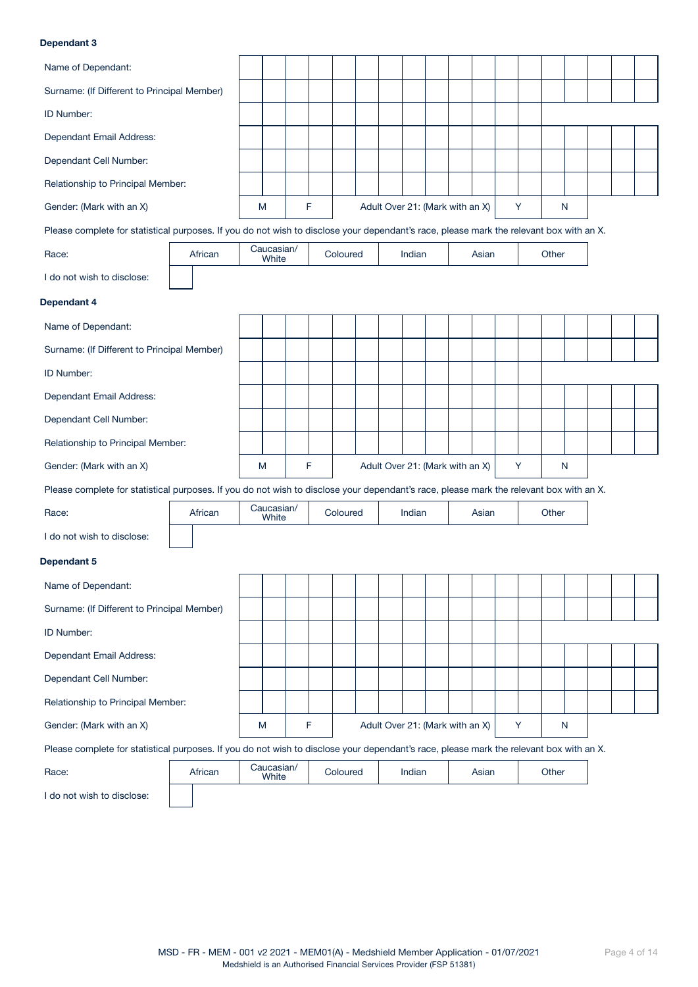## Dependant 3

| Name of Dependant:                                                                                                                      |         |                     |   |          |                                 |        |  |       |   |   |       |   |  |  |
|-----------------------------------------------------------------------------------------------------------------------------------------|---------|---------------------|---|----------|---------------------------------|--------|--|-------|---|---|-------|---|--|--|
| Surname: (If Different to Principal Member)                                                                                             |         |                     |   |          |                                 |        |  |       |   |   |       |   |  |  |
| ID Number:                                                                                                                              |         |                     |   |          |                                 |        |  |       |   |   |       |   |  |  |
| Dependant Email Address:                                                                                                                |         |                     |   |          |                                 |        |  |       |   |   |       |   |  |  |
| Dependant Cell Number:                                                                                                                  |         |                     |   |          |                                 |        |  |       |   |   |       |   |  |  |
| Relationship to Principal Member:                                                                                                       |         |                     |   |          |                                 |        |  |       |   |   |       |   |  |  |
| Gender: (Mark with an X)                                                                                                                |         | M                   | F |          | Adult Over 21: (Mark with an X) |        |  |       | Y |   |       | N |  |  |
| Please complete for statistical purposes. If you do not wish to disclose your dependant's race, please mark the relevant box with an X. |         |                     |   |          |                                 |        |  |       |   |   |       |   |  |  |
| Race:                                                                                                                                   | African | Caucasian/<br>White |   | Coloured |                                 | Indian |  | Asian |   |   | Other |   |  |  |
| I do not wish to disclose:                                                                                                              |         |                     |   |          |                                 |        |  |       |   |   |       |   |  |  |
| Dependant 4                                                                                                                             |         |                     |   |          |                                 |        |  |       |   |   |       |   |  |  |
| Name of Dependant:                                                                                                                      |         |                     |   |          |                                 |        |  |       |   |   |       |   |  |  |
| Surname: (If Different to Principal Member)                                                                                             |         |                     |   |          |                                 |        |  |       |   |   |       |   |  |  |
| ID Number:                                                                                                                              |         |                     |   |          |                                 |        |  |       |   |   |       |   |  |  |
| Dependant Email Address:                                                                                                                |         |                     |   |          |                                 |        |  |       |   |   |       |   |  |  |
| Dependant Cell Number:                                                                                                                  |         |                     |   |          |                                 |        |  |       |   |   |       |   |  |  |
| Relationship to Principal Member:                                                                                                       |         |                     |   |          |                                 |        |  |       |   |   |       |   |  |  |
| Gender: (Mark with an X)                                                                                                                |         | M                   | F |          | Adult Over 21: (Mark with an X) |        |  |       | Y |   |       | N |  |  |
| Please complete for statistical purposes. If you do not wish to disclose your dependant's race, please mark the relevant box with an X. |         |                     |   |          |                                 |        |  |       |   |   |       |   |  |  |
| Race:                                                                                                                                   | African | Caucasian/<br>White |   | Coloured |                                 | Indian |  | Asian |   |   | Other |   |  |  |
| I do not wish to disclose:                                                                                                              |         |                     |   |          |                                 |        |  |       |   |   |       |   |  |  |
| Dependant 5                                                                                                                             |         |                     |   |          |                                 |        |  |       |   |   |       |   |  |  |
| Name of Dependant:                                                                                                                      |         |                     |   |          |                                 |        |  |       |   |   |       |   |  |  |
| Surname: (If Different to Principal Member)                                                                                             |         |                     |   |          |                                 |        |  |       |   |   |       |   |  |  |
| ID Number:                                                                                                                              |         |                     |   |          |                                 |        |  |       |   |   |       |   |  |  |
| Dependant Email Address:                                                                                                                |         |                     |   |          |                                 |        |  |       |   |   |       |   |  |  |
| Dependant Cell Number:                                                                                                                  |         |                     |   |          |                                 |        |  |       |   |   |       |   |  |  |
| Relationship to Principal Member:                                                                                                       |         |                     |   |          |                                 |        |  |       |   |   |       |   |  |  |
| Gender: (Mark with an X)                                                                                                                |         | M                   | F |          | Adult Over 21: (Mark with an X) |        |  |       |   | Y |       | N |  |  |
| Please complete for statistical purposes. If you do not wish to disclose your dependant's race, please mark the relevant box with an X. |         |                     |   |          |                                 |        |  |       |   |   |       |   |  |  |
| Race:                                                                                                                                   | African | Caucasian/<br>White |   | Coloured |                                 | Indian |  | Asian |   |   | Other |   |  |  |
|                                                                                                                                         |         |                     |   |          |                                 |        |  |       |   |   |       |   |  |  |

I do not wish to disclose:

| African | Gaucasian/<br>White | Coloured | Indian | Asian | Other |
|---------|---------------------|----------|--------|-------|-------|
|         |                     |          |        |       |       |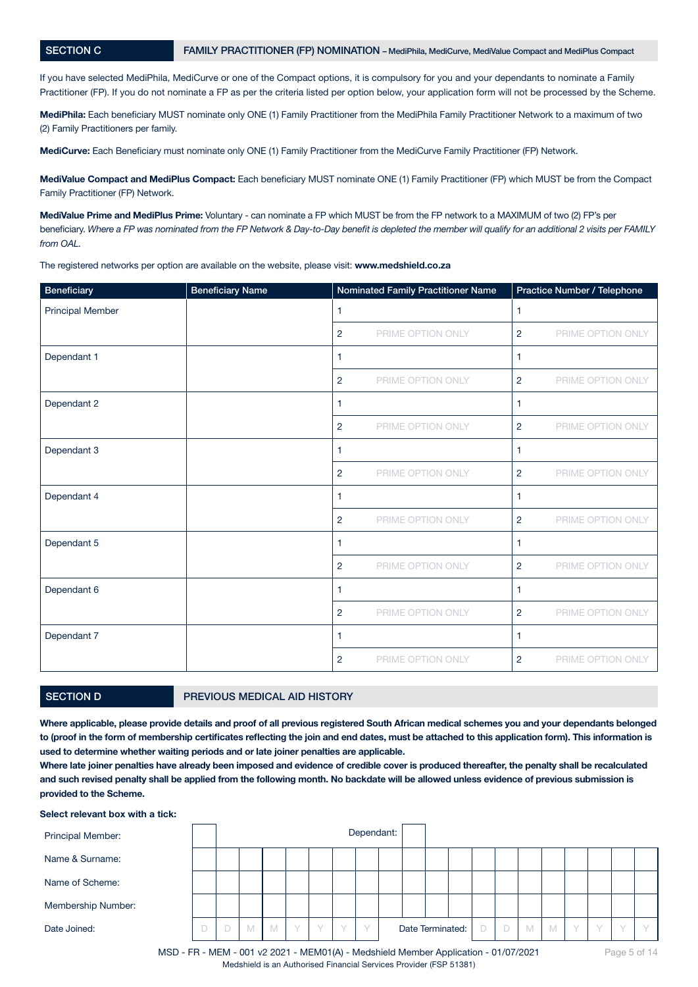If you have selected MediPhila, MediCurve or one of the Compact options, it is compulsory for you and your dependants to nominate a Family Practitioner (FP). If you do not nominate a FP as per the criteria listed per option below, your application form will not be processed by the Scheme.

MediPhila: Each beneficiary MUST nominate only ONE (1) Family Practitioner from the MediPhila Family Practitioner Network to a maximum of two (2) Family Practitioners per family.

MediCurve: Each Beneficiary must nominate only ONE (1) Family Practitioner from the MediCurve Family Practitioner (FP) Network.

MediValue Compact and MediPlus Compact: Each beneficiary MUST nominate ONE (1) Family Practitioner (FP) which MUST be from the Compact Family Practitioner (FP) Network.

MediValue Prime and MediPlus Prime: Voluntary - can nominate a FP which MUST be from the FP network to a MAXIMUM of two (2) FP's per beneficiary. *Where a FP was nominated from the FP Network & Day-to-Day benefit is depleted the member will qualify for an additional 2 visits per FAMILY from OAL.*

The registered networks per option are available on the website, please visit: www.medshield.co.za

| Beneficiary             | <b>Beneficiary Name</b> |                | Nominated Family Practitioner Name |                | Practice Number / Telephone |
|-------------------------|-------------------------|----------------|------------------------------------|----------------|-----------------------------|
| <b>Principal Member</b> |                         | 1              |                                    | 1              |                             |
|                         |                         | 2              | PRIME OPTION ONLY                  | $\overline{2}$ | PRIME OPTION ONLY           |
| Dependant 1             |                         | $\mathbf{1}$   |                                    | 1              |                             |
|                         |                         | 2              | PRIME OPTION ONLY                  | 2              | PRIME OPTION ONLY           |
| Dependant 2             |                         | $\mathbf{1}$   |                                    | 1              |                             |
|                         |                         | 2              | PRIME OPTION ONLY                  | $\overline{2}$ | PRIME OPTION ONLY           |
| Dependant 3             |                         | 1              |                                    | $\mathbf{1}$   |                             |
|                         |                         | 2              | PRIME OPTION ONLY                  | 2              | PRIME OPTION ONLY           |
| Dependant 4             |                         | 1              |                                    | 1              |                             |
|                         |                         | $\overline{2}$ | PRIME OPTION ONLY                  | 2              | PRIME OPTION ONLY           |
| Dependant 5             |                         | $\mathbf{1}$   |                                    | 1              |                             |
|                         |                         | 2              | PRIME OPTION ONLY                  | 2              | PRIME OPTION ONLY           |
| Dependant 6             |                         | 1              |                                    | 1              |                             |
|                         |                         | 2              | PRIME OPTION ONLY                  | $\overline{2}$ | PRIME OPTION ONLY           |
| Dependant 7             |                         | $\mathbf{1}$   |                                    | 1              |                             |
|                         |                         | 2              | PRIME OPTION ONLY                  | 2              | PRIME OPTION ONLY           |

# SECTION D **PREVIOUS MEDICAL AID HISTORY**

Where applicable, please provide details and proof of all previous registered South African medical schemes you and your dependants belonged to (proof in the form of membership certificates reflecting the join and end dates, must be attached to this application form). This information is used to determine whether waiting periods and or late joiner penalties are applicable.

Where late joiner penalties have already been imposed and evidence of credible cover is produced thereafter, the penalty shall be recalculated and such revised penalty shall be applied from the following month. No backdate will be allowed unless evidence of previous submission is provided to the Scheme.

#### Select relevant box with a tick:

| Principal Member:  |  |   |   |        |           |           | Dependant: |  |                  |  |   |   |   |           |  |  |
|--------------------|--|---|---|--------|-----------|-----------|------------|--|------------------|--|---|---|---|-----------|--|--|
| Name & Surname:    |  |   |   |        |           |           |            |  |                  |  |   |   |   |           |  |  |
| Name of Scheme:    |  |   |   |        |           |           |            |  |                  |  |   |   |   |           |  |  |
| Membership Number: |  |   |   |        |           |           |            |  |                  |  |   |   |   |           |  |  |
| Date Joined:       |  | M | M | $\vee$ | $\sqrt{}$ | $\bigvee$ |            |  | Date Terminated: |  | D | M | M | $\sqrt{}$ |  |  |

MSD - FR - MEM - 001 v2 2021 - MEM01(A) - Medshield Member Application - 01/07/2021 Medshield is an Authorised Financial Services Provider (FSP 51381)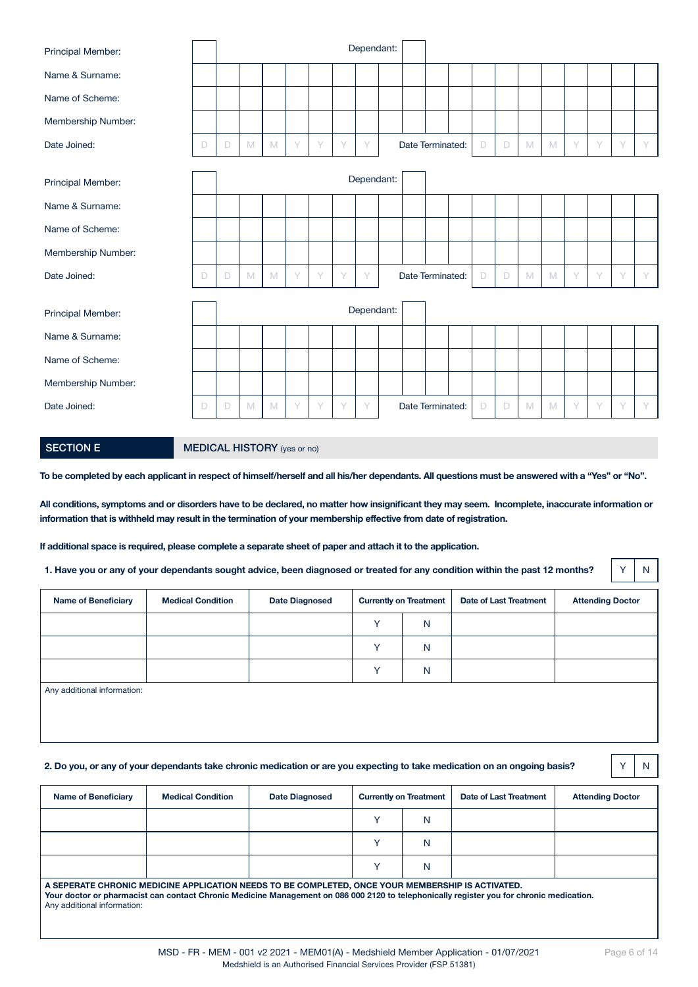| Principal Member:  |   |   |   |   |   |        |   | Dependant: |                  |  |   |        |   |   |   |   |   |   |
|--------------------|---|---|---|---|---|--------|---|------------|------------------|--|---|--------|---|---|---|---|---|---|
| Name & Surname:    |   |   |   |   |   |        |   |            |                  |  |   |        |   |   |   |   |   |   |
| Name of Scheme:    |   |   |   |   |   |        |   |            |                  |  |   |        |   |   |   |   |   |   |
| Membership Number: |   |   |   |   |   |        |   |            |                  |  |   |        |   |   |   |   |   |   |
| Date Joined:       | D | D | M | M | Y | Y      | Y | Y          | Date Terminated: |  | D | D      | M | M | Y | Y | Y | Y |
|                    |   |   |   |   |   |        |   | Dependant: |                  |  |   |        |   |   |   |   |   |   |
| Principal Member:  |   |   |   |   |   |        |   |            |                  |  |   |        |   |   |   |   |   |   |
| Name & Surname:    |   |   |   |   |   |        |   |            |                  |  |   |        |   |   |   |   |   |   |
| Name of Scheme:    |   |   |   |   |   |        |   |            |                  |  |   |        |   |   |   |   |   |   |
| Membership Number: |   |   |   |   |   |        |   |            |                  |  |   |        |   |   |   |   |   |   |
| Date Joined:       | D | D | M | M | Y | $\vee$ | Y | Y          | Date Terminated: |  | D | $\Box$ | M | M | Y | Y | Y | Y |
|                    |   |   |   |   |   |        |   |            |                  |  |   |        |   |   |   |   |   |   |
| Principal Member:  |   |   |   |   |   |        |   | Dependant: |                  |  |   |        |   |   |   |   |   |   |
| Name & Surname:    |   |   |   |   |   |        |   |            |                  |  |   |        |   |   |   |   |   |   |
| Name of Scheme:    |   |   |   |   |   |        |   |            |                  |  |   |        |   |   |   |   |   |   |
| Membership Number: |   |   |   |   |   |        |   |            |                  |  |   |        |   |   |   |   |   |   |
| Date Joined:       | D | D | M | M | Y | Y      | Y | Y          | Date Terminated: |  | D | D      | M | M | Y | Y | Y | Y |
|                    |   |   |   |   |   |        |   |            |                  |  |   |        |   |   |   |   |   |   |

|  | <b>SECTION E</b> |  |
|--|------------------|--|
|  |                  |  |

## **MEDICAL HISTORY** (yes or no)

To be completed by each applicant in respect of himself/herself and all his/her dependants. All questions must be answered with a "Yes" or "No".

All conditions, symptoms and or disorders have to be declared, no matter how insignificant they may seem. Incomplete, inaccurate information or information that is withheld may result in the termination of your membership effective from date of registration.

If additional space is required, please complete a separate sheet of paper and attach it to the application.

1. Have you or any of your dependants sought advice, been diagnosed or treated for any condition within the past 12 months?  $\|\gamma\|$  N

| <b>Name of Beneficiary</b>  | <b>Medical Condition</b> | <b>Date Diagnosed</b> |              | <b>Currently on Treatment</b> | <b>Date of Last Treatment</b> | <b>Attending Doctor</b> |
|-----------------------------|--------------------------|-----------------------|--------------|-------------------------------|-------------------------------|-------------------------|
|                             |                          |                       | $\checkmark$ | N                             |                               |                         |
|                             |                          |                       | $\sqrt{}$    | N                             |                               |                         |
|                             |                          |                       |              | N                             |                               |                         |
| Any additional information: |                          |                       |              |                               |                               |                         |

#### 2. Do you, or any of your dependants take chronic medication or are you expecting to take medication on an ongoing basis? Y N

| <b>Name of Beneficiary</b> | <b>Medical Condition</b> | <b>Date Diagnosed</b> | <b>Currently on Treatment</b> | Date of Last Treatment | <b>Attending Doctor</b> |
|----------------------------|--------------------------|-----------------------|-------------------------------|------------------------|-------------------------|
|                            |                          |                       | N                             |                        |                         |
|                            |                          |                       | N                             |                        |                         |
|                            |                          |                       | N                             |                        |                         |

A SEPERATE CHRONIC MEDICINE APPLICATION NEEDS TO BE COMPLETED, ONCE YOUR MEMBERSHIP IS ACTIVATED. Your doctor or pharmacist can contact Chronic Medicine Management on 086 000 2120 to telephonically register you for chronic medication. Any additional information: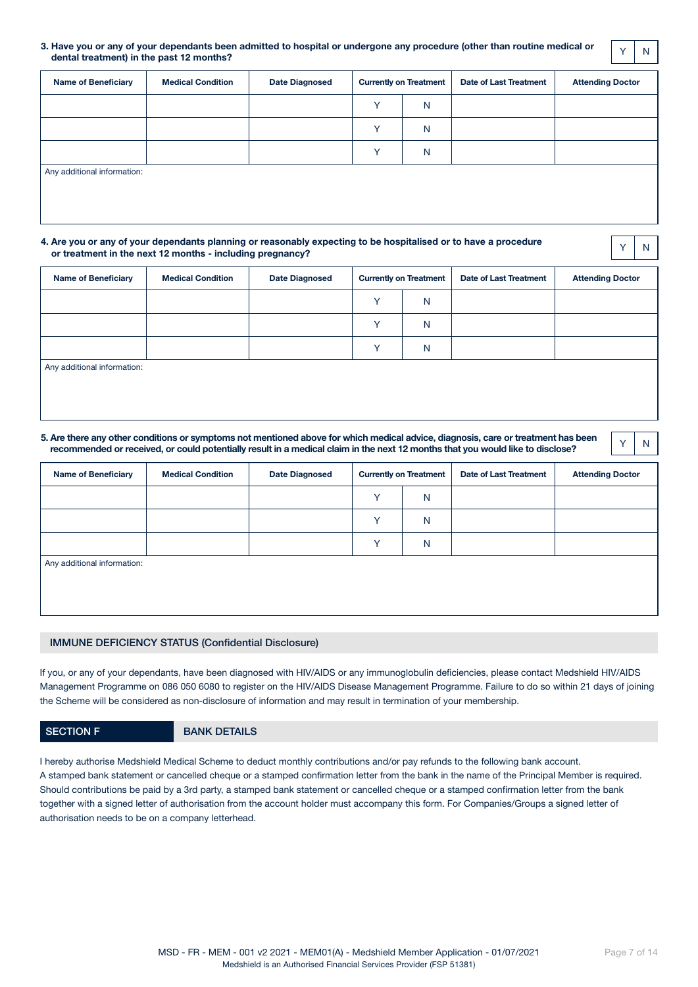#### 3. Have you or any of your dependants been admitted to hospital or undergone any procedure (other than routine medical or have you or any or your dependants been admitted to hospital or undergone any procedure (other than routine medical or  $\begin{vmatrix} \gamma \\ \gamma \end{vmatrix}$  N<br>dental treatment) in the past 12 months?

| <b>Name of Beneficiary</b>  | <b>Medical Condition</b> | <b>Date Diagnosed</b> |              | <b>Currently on Treatment</b> | <b>Date of Last Treatment</b> | <b>Attending Doctor</b> |
|-----------------------------|--------------------------|-----------------------|--------------|-------------------------------|-------------------------------|-------------------------|
|                             |                          |                       | $\checkmark$ | $\mathsf{N}$                  |                               |                         |
|                             |                          |                       | v            | $\mathsf{N}$                  |                               |                         |
|                             |                          |                       | v.           | $\mathsf{N}$                  |                               |                         |
| Any additional information: |                          |                       |              |                               |                               |                         |
|                             |                          |                       |              |                               |                               |                         |
|                             |                          |                       |              |                               |                               |                         |

#### 4. Are you or any of your dependants planning or reasonably expecting to be hospitalised or to have a procedure or treatment in the next 12 months - including pregnancy? <sup>Y</sup> <sup>N</sup>

| <b>Name of Beneficiary</b>  | <b>Medical Condition</b> | <b>Date Diagnosed</b> |              | <b>Currently on Treatment</b> | Date of Last Treatment | <b>Attending Doctor</b> |
|-----------------------------|--------------------------|-----------------------|--------------|-------------------------------|------------------------|-------------------------|
|                             |                          |                       | $\vee$       | N                             |                        |                         |
|                             |                          |                       | $\checkmark$ | N                             |                        |                         |
|                             |                          |                       | $\checkmark$ | N                             |                        |                         |
| Any additional information: |                          |                       |              |                               |                        |                         |

#### 5. Are there any other conditions or symptoms not mentioned above for which medical advice, diagnosis, care or treatment has been Fore there any other conditions or symptoms not mentioned above for which medical advice, diagnosis, care or treatment has been  $\begin{array}{|c|c|c|}\hline \gamma&\gamma\end{array}$

| <b>Name of Beneficiary</b>  | <b>Medical Condition</b> | <b>Date Diagnosed</b> |              | <b>Currently on Treatment</b> | <b>Date of Last Treatment</b> | <b>Attending Doctor</b> |
|-----------------------------|--------------------------|-----------------------|--------------|-------------------------------|-------------------------------|-------------------------|
|                             |                          |                       | $\checkmark$ | N                             |                               |                         |
|                             |                          |                       | $\checkmark$ | N                             |                               |                         |
|                             |                          |                       | $\checkmark$ | N                             |                               |                         |
| Any additional information: |                          |                       |              |                               |                               |                         |
|                             |                          |                       |              |                               |                               |                         |
|                             |                          |                       |              |                               |                               |                         |

## IMMUNE DEFICIENCY STATUS (Confidential Disclosure)

If you, or any of your dependants, have been diagnosed with HIV/AIDS or any immunoglobulin deficiencies, please contact Medshield HIV/AIDS Management Programme on 086 050 6080 to register on the HIV/AIDS Disease Management Programme. Failure to do so within 21 days of joining the Scheme will be considered as non-disclosure of information and may result in termination of your membership.

## SECTION F BANK DETAILS

I hereby authorise Medshield Medical Scheme to deduct monthly contributions and/or pay refunds to the following bank account. A stamped bank statement or cancelled cheque or a stamped confirmation letter from the bank in the name of the Principal Member is required. Should contributions be paid by a 3rd party, a stamped bank statement or cancelled cheque or a stamped confirmation letter from the bank together with a signed letter of authorisation from the account holder must accompany this form. For Companies/Groups a signed letter of authorisation needs to be on a company letterhead.

Page 7 of 14

MSD - FR - MEM - 001 v2 2021 - MEM01(A) - Medshield Member Application - 01/07/2021 Medshield is an Authorised Financial Services Provider (FSP 51381)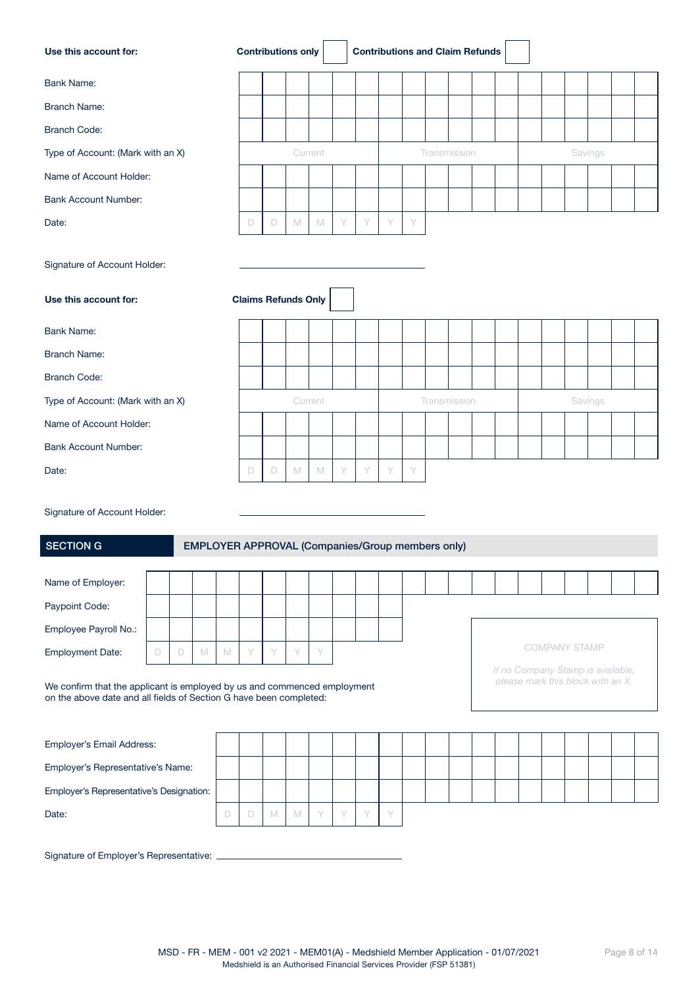| Use this account for:                                                                                                                          |        |   |                                                         |        |   |        | <b>Contributions only</b>  |             |   |   |   |   | <b>Contributions and Claim Refunds</b> |  |  |                                                                        |         |  |  |
|------------------------------------------------------------------------------------------------------------------------------------------------|--------|---|---------------------------------------------------------|--------|---|--------|----------------------------|-------------|---|---|---|---|----------------------------------------|--|--|------------------------------------------------------------------------|---------|--|--|
| <b>Bank Name:</b>                                                                                                                              |        |   |                                                         |        |   |        |                            |             |   |   |   |   |                                        |  |  |                                                                        |         |  |  |
| <b>Branch Name:</b>                                                                                                                            |        |   |                                                         |        |   |        |                            |             |   |   |   |   |                                        |  |  |                                                                        |         |  |  |
| <b>Branch Code:</b>                                                                                                                            |        |   |                                                         |        |   |        |                            |             |   |   |   |   |                                        |  |  |                                                                        |         |  |  |
| Type of Account: (Mark with an X)                                                                                                              |        |   |                                                         |        |   |        |                            | Current     |   |   |   |   | Transmission                           |  |  |                                                                        | Savings |  |  |
| Name of Account Holder:                                                                                                                        |        |   |                                                         |        |   |        |                            |             |   |   |   |   |                                        |  |  |                                                                        |         |  |  |
| <b>Bank Account Number:</b>                                                                                                                    |        |   |                                                         |        |   |        |                            |             |   |   |   |   |                                        |  |  |                                                                        |         |  |  |
| Date:                                                                                                                                          |        |   |                                                         |        | D | $\Box$ | M                          | $\mathbb M$ | Y | Υ | Y | Y |                                        |  |  |                                                                        |         |  |  |
| Signature of Account Holder:<br>Use this account for:                                                                                          |        |   |                                                         |        |   |        | <b>Claims Refunds Only</b> |             |   |   |   |   |                                        |  |  |                                                                        |         |  |  |
| <b>Bank Name:</b>                                                                                                                              |        |   |                                                         |        |   |        |                            |             |   |   |   |   |                                        |  |  |                                                                        |         |  |  |
| <b>Branch Name:</b>                                                                                                                            |        |   |                                                         |        |   |        |                            |             |   |   |   |   |                                        |  |  |                                                                        |         |  |  |
| <b>Branch Code:</b>                                                                                                                            |        |   |                                                         |        |   |        |                            |             |   |   |   |   |                                        |  |  |                                                                        |         |  |  |
| Type of Account: (Mark with an X)                                                                                                              |        |   |                                                         |        |   |        |                            | Current     |   |   |   |   | Transmission                           |  |  |                                                                        | Savings |  |  |
| Name of Account Holder:                                                                                                                        |        |   |                                                         |        |   |        |                            |             |   |   |   |   |                                        |  |  |                                                                        |         |  |  |
| <b>Bank Account Number:</b>                                                                                                                    |        |   |                                                         |        |   |        |                            |             |   |   |   |   |                                        |  |  |                                                                        |         |  |  |
| Date:                                                                                                                                          |        |   |                                                         |        | D | D      | $\mathbb M$                | $\mathbb M$ | Y | Y | Y | Y |                                        |  |  |                                                                        |         |  |  |
| Signature of Account Holder:<br><b>SECTION G</b>                                                                                               |        |   | <b>EMPLOYER APPROVAL (Companies/Group members only)</b> |        |   |        |                            |             |   |   |   |   |                                        |  |  |                                                                        |         |  |  |
| Name of Employer:                                                                                                                              |        |   |                                                         |        |   |        |                            |             |   |   |   |   |                                        |  |  |                                                                        |         |  |  |
| Paypoint Code:                                                                                                                                 |        |   |                                                         |        |   |        |                            |             |   |   |   |   |                                        |  |  |                                                                        |         |  |  |
| Employee Payroll No.:                                                                                                                          |        |   |                                                         |        |   |        |                            |             |   |   |   |   |                                        |  |  |                                                                        |         |  |  |
| <b>Employment Date:</b>                                                                                                                        | $\Box$ | D | M                                                       | M      | Y | Y      | Y                          | Y           |   |   |   |   |                                        |  |  | <b>COMPANY STAMP</b>                                                   |         |  |  |
| We confirm that the applicant is employed by us and commenced employment<br>on the above date and all fields of Section G have been completed: |        |   |                                                         |        |   |        |                            |             |   |   |   |   |                                        |  |  | If no Company Stamp is available,<br>please mark this block with an X. |         |  |  |
| Employer's Email Address:                                                                                                                      |        |   |                                                         |        |   |        |                            |             |   |   |   |   |                                        |  |  |                                                                        |         |  |  |
| Employer's Representative's Name:                                                                                                              |        |   |                                                         |        |   |        |                            |             |   |   |   |   |                                        |  |  |                                                                        |         |  |  |
| Employer's Representative's Designation:                                                                                                       |        |   |                                                         |        |   |        |                            |             |   |   |   |   |                                        |  |  |                                                                        |         |  |  |
| Date:                                                                                                                                          |        |   |                                                         | $\Box$ | D | M      | M                          | Y           | Y | Y | Y |   |                                        |  |  |                                                                        |         |  |  |
|                                                                                                                                                |        |   |                                                         |        |   |        |                            |             |   |   |   |   |                                        |  |  |                                                                        |         |  |  |

Signature of Employer's Representative: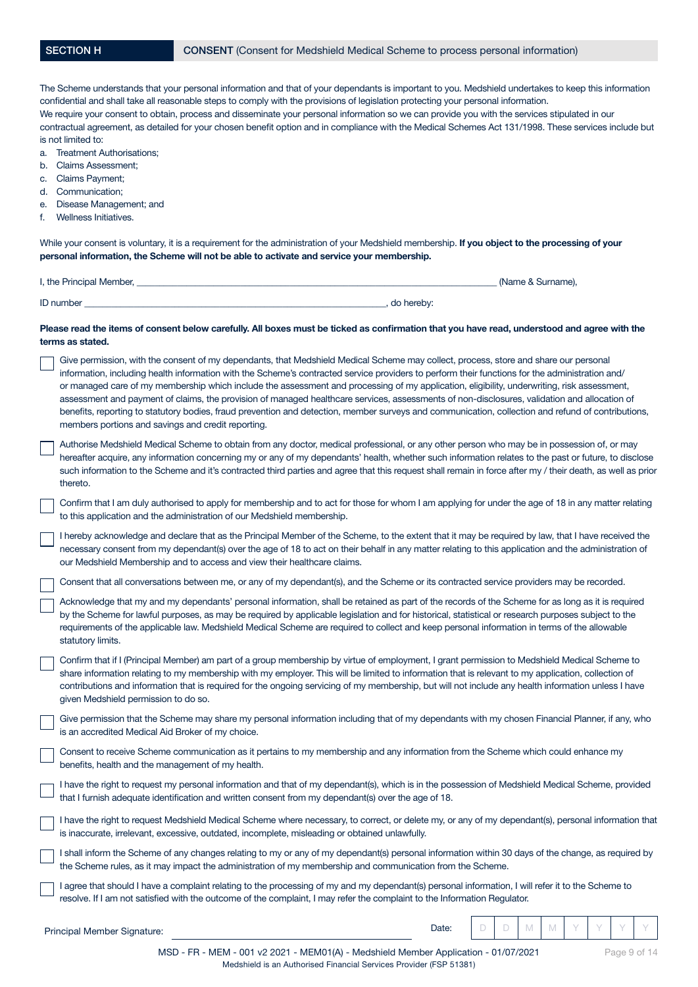| a.<br>b.<br>c.<br>е.<br>f. | The Scheme understands that your personal information and that of your dependants is important to you. Medshield undertakes to keep this information<br>confidential and shall take all reasonable steps to comply with the provisions of legislation protecting your personal information.<br>We require your consent to obtain, process and disseminate your personal information so we can provide you with the services stipulated in our<br>contractual agreement, as detailed for your chosen benefit option and in compliance with the Medical Schemes Act 131/1998. These services include but<br>is not limited to:<br>Treatment Authorisations;<br><b>Claims Assessment;</b><br>Claims Payment;<br>d. Communication;<br>Disease Management; and<br>Wellness Initiatives.<br>While your consent is voluntary, it is a requirement for the administration of your Medshield membership. If you object to the processing of your |
|----------------------------|-----------------------------------------------------------------------------------------------------------------------------------------------------------------------------------------------------------------------------------------------------------------------------------------------------------------------------------------------------------------------------------------------------------------------------------------------------------------------------------------------------------------------------------------------------------------------------------------------------------------------------------------------------------------------------------------------------------------------------------------------------------------------------------------------------------------------------------------------------------------------------------------------------------------------------------------|
|                            | personal information, the Scheme will not be able to activate and service your membership.<br>(Name & Surname),                                                                                                                                                                                                                                                                                                                                                                                                                                                                                                                                                                                                                                                                                                                                                                                                                         |
|                            | ID number (a) and the state of the state of the state of the state of the state of the state of the state of the state of the state of the state of the state of the state of the state of the state of the state of the state                                                                                                                                                                                                                                                                                                                                                                                                                                                                                                                                                                                                                                                                                                          |
|                            | Please read the items of consent below carefully. All boxes must be ticked as confirmation that you have read, understood and agree with the<br>terms as stated.                                                                                                                                                                                                                                                                                                                                                                                                                                                                                                                                                                                                                                                                                                                                                                        |
|                            | Give permission, with the consent of my dependants, that Medshield Medical Scheme may collect, process, store and share our personal<br>information, including health information with the Scheme's contracted service providers to perform their functions for the administration and/<br>or managed care of my membership which include the assessment and processing of my application, eligibility, underwriting, risk assessment,<br>assessment and payment of claims, the provision of managed healthcare services, assessments of non-disclosures, validation and allocation of<br>benefits, reporting to statutory bodies, fraud prevention and detection, member surveys and communication, collection and refund of contributions,<br>members portions and savings and credit reporting.                                                                                                                                      |
|                            | Authorise Medshield Medical Scheme to obtain from any doctor, medical professional, or any other person who may be in possession of, or may<br>hereafter acquire, any information concerning my or any of my dependants' health, whether such information relates to the past or future, to disclose<br>such information to the Scheme and it's contracted third parties and agree that this request shall remain in force after my / their death, as well as prior<br>thereto.                                                                                                                                                                                                                                                                                                                                                                                                                                                         |
|                            | Confirm that I am duly authorised to apply for membership and to act for those for whom I am applying for under the age of 18 in any matter relating<br>to this application and the administration of our Medshield membership.                                                                                                                                                                                                                                                                                                                                                                                                                                                                                                                                                                                                                                                                                                         |
|                            | I hereby acknowledge and declare that as the Principal Member of the Scheme, to the extent that it may be required by law, that I have received the<br>necessary consent from my dependant(s) over the age of 18 to act on their behalf in any matter relating to this application and the administration of<br>our Medshield Membership and to access and view their healthcare claims.                                                                                                                                                                                                                                                                                                                                                                                                                                                                                                                                                |
|                            | Consent that all conversations between me, or any of my dependant(s), and the Scheme or its contracted service providers may be recorded.                                                                                                                                                                                                                                                                                                                                                                                                                                                                                                                                                                                                                                                                                                                                                                                               |
|                            | Acknowledge that my and my dependants' personal information, shall be retained as part of the records of the Scheme for as long as it is required<br>by the Scheme for lawful purposes, as may be required by applicable legislation and for historical, statistical or research purposes subject to the<br>requirements of the applicable law. Medshield Medical Scheme are required to collect and keep personal information in terms of the allowable<br>statutory limits.                                                                                                                                                                                                                                                                                                                                                                                                                                                           |
|                            | Confirm that if I (Principal Member) am part of a group membership by virtue of employment, I grant permission to Medshield Medical Scheme to<br>share information relating to my membership with my employer. This will be limited to information that is relevant to my application, collection of<br>contributions and information that is required for the ongoing servicing of my membership, but will not include any health information unless I have<br>given Medshield permission to do so.                                                                                                                                                                                                                                                                                                                                                                                                                                    |
|                            | Give permission that the Scheme may share my personal information including that of my dependants with my chosen Financial Planner, if any, who<br>is an accredited Medical Aid Broker of my choice.                                                                                                                                                                                                                                                                                                                                                                                                                                                                                                                                                                                                                                                                                                                                    |
|                            | Consent to receive Scheme communication as it pertains to my membership and any information from the Scheme which could enhance my<br>benefits, health and the management of my health.                                                                                                                                                                                                                                                                                                                                                                                                                                                                                                                                                                                                                                                                                                                                                 |
|                            | I have the right to request my personal information and that of my dependant(s), which is in the possession of Medshield Medical Scheme, provided<br>that I furnish adequate identification and written consent from my dependant(s) over the age of 18.                                                                                                                                                                                                                                                                                                                                                                                                                                                                                                                                                                                                                                                                                |
|                            | I have the right to request Medshield Medical Scheme where necessary, to correct, or delete my, or any of my dependant(s), personal information that<br>is inaccurate, irrelevant, excessive, outdated, incomplete, misleading or obtained unlawfully.                                                                                                                                                                                                                                                                                                                                                                                                                                                                                                                                                                                                                                                                                  |
|                            | I shall inform the Scheme of any changes relating to my or any of my dependant(s) personal information within 30 days of the change, as required by<br>the Scheme rules, as it may impact the administration of my membership and communication from the Scheme.                                                                                                                                                                                                                                                                                                                                                                                                                                                                                                                                                                                                                                                                        |
|                            | I agree that should I have a complaint relating to the processing of my and my dependant(s) personal information, I will refer it to the Scheme to<br>resolve. If I am not satisfied with the outcome of the complaint, I may refer the complaint to the Information Regulator.                                                                                                                                                                                                                                                                                                                                                                                                                                                                                                                                                                                                                                                         |
|                            | Date:<br>D<br>M<br>M<br>D<br>Principal Member Signature:                                                                                                                                                                                                                                                                                                                                                                                                                                                                                                                                                                                                                                                                                                                                                                                                                                                                                |

MSD - FR - MEM - 001 v2 2021 - MEM01(A) - Medshield Member Application - 01/07/2021 Medshield is an Authorised Financial Services Provider (FSP 51381)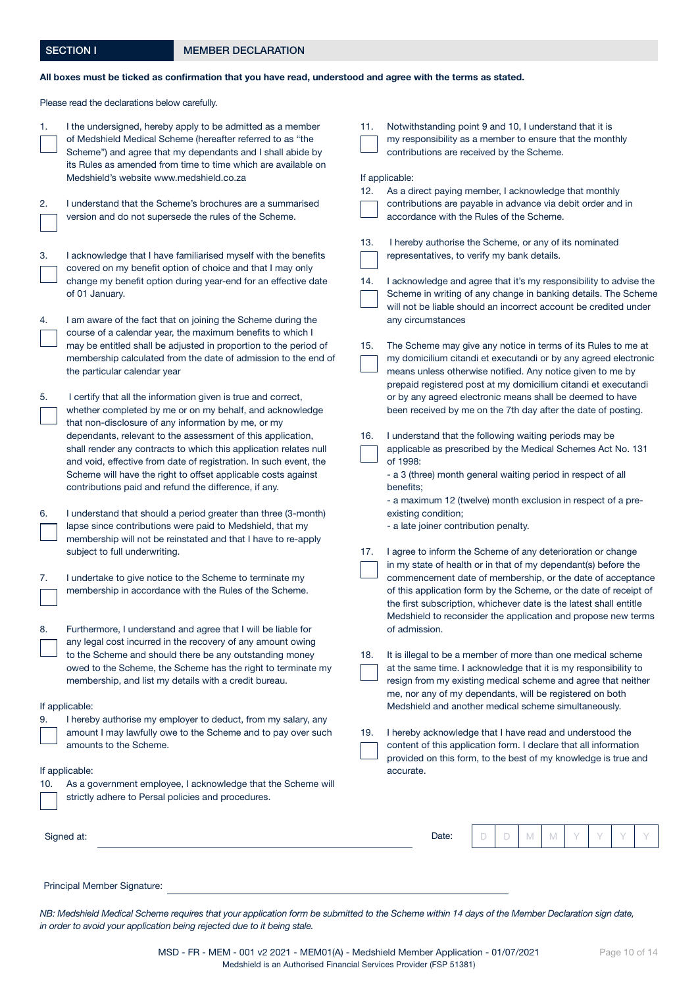## SECTION I MEMBER DECLARATION

## All boxes must be ticked as confirmation that you have read, understood and agree with the terms as stated.

Please read the declarations below carefully.

| 1.  | I the undersigned, hereby apply to be admitted as a member<br>of Medshield Medical Scheme (hereafter referred to as "the<br>Scheme") and agree that my dependants and I shall abide by<br>its Rules as amended from time to time which are available on<br>Medshield's website www.medshield.co.za                                                                                                                                                                                                                  | 11.<br>12. | Notwithstanding point 9 and 10, I understand that it is<br>my responsibility as a member to ensure that the monthly<br>contributions are received by the Scheme.<br>If applicable:<br>As a direct paying member, I acknowledge that monthly                                                                                                                                                                  |
|-----|---------------------------------------------------------------------------------------------------------------------------------------------------------------------------------------------------------------------------------------------------------------------------------------------------------------------------------------------------------------------------------------------------------------------------------------------------------------------------------------------------------------------|------------|--------------------------------------------------------------------------------------------------------------------------------------------------------------------------------------------------------------------------------------------------------------------------------------------------------------------------------------------------------------------------------------------------------------|
| 2.  | I understand that the Scheme's brochures are a summarised<br>version and do not supersede the rules of the Scheme.                                                                                                                                                                                                                                                                                                                                                                                                  |            | contributions are payable in advance via debit order and in<br>accordance with the Rules of the Scheme.                                                                                                                                                                                                                                                                                                      |
| 3.  | I acknowledge that I have familiarised myself with the benefits<br>covered on my benefit option of choice and that I may only<br>change my benefit option during year-end for an effective date<br>of 01 January.                                                                                                                                                                                                                                                                                                   | 13.<br>14. | I hereby authorise the Scheme, or any of its nominated<br>representatives, to verify my bank details.<br>I acknowledge and agree that it's my responsibility to advise the<br>Scheme in writing of any change in banking details. The Scheme<br>will not be liable should an incorrect account be credited under                                                                                             |
| 4.  | I am aware of the fact that on joining the Scheme during the<br>course of a calendar year, the maximum benefits to which I<br>may be entitled shall be adjusted in proportion to the period of<br>membership calculated from the date of admission to the end of<br>the particular calendar year                                                                                                                                                                                                                    | 15.        | any circumstances<br>The Scheme may give any notice in terms of its Rules to me at<br>my domicilium citandi et executandi or by any agreed electronic<br>means unless otherwise notified. Any notice given to me by<br>prepaid registered post at my domicilium citandi et executandi                                                                                                                        |
| 5.  | I certify that all the information given is true and correct,<br>whether completed by me or on my behalf, and acknowledge<br>that non-disclosure of any information by me, or my<br>dependants, relevant to the assessment of this application,<br>shall render any contracts to which this application relates null<br>and void, effective from date of registration. In such event, the<br>Scheme will have the right to offset applicable costs against<br>contributions paid and refund the difference, if any. | 16.        | or by any agreed electronic means shall be deemed to have<br>been received by me on the 7th day after the date of posting.<br>I understand that the following waiting periods may be<br>applicable as prescribed by the Medical Schemes Act No. 131<br>of 1998:<br>- a 3 (three) month general waiting period in respect of all<br>benefits;<br>- a maximum 12 (twelve) month exclusion in respect of a pre- |
| 6.  | I understand that should a period greater than three (3-month)<br>lapse since contributions were paid to Medshield, that my<br>membership will not be reinstated and that I have to re-apply<br>subject to full underwriting.                                                                                                                                                                                                                                                                                       | 17.        | existing condition;<br>- a late joiner contribution penalty.<br>I agree to inform the Scheme of any deterioration or change                                                                                                                                                                                                                                                                                  |
| 7.  | I undertake to give notice to the Scheme to terminate my<br>membership in accordance with the Rules of the Scheme.                                                                                                                                                                                                                                                                                                                                                                                                  |            | in my state of health or in that of my dependant(s) before the<br>commencement date of membership, or the date of acceptance<br>of this application form by the Scheme, or the date of receipt of<br>the first subscription, whichever date is the latest shall entitle<br>Medshield to reconsider the application and propose new terms                                                                     |
| 8.  | Furthermore, I understand and agree that I will be liable for<br>any legal cost incurred in the recovery of any amount owing<br>to the Scheme and should there be any outstanding money<br>owed to the Scheme, the Scheme has the right to terminate my<br>membership, and list my details with a credit bureau.                                                                                                                                                                                                    | 18.        | of admission.<br>It is illegal to be a member of more than one medical scheme<br>at the same time. I acknowledge that it is my responsibility to<br>resign from my existing medical scheme and agree that neither<br>me, nor any of my dependants, will be registered on both                                                                                                                                |
| 9.  | If applicable:<br>I hereby authorise my employer to deduct, from my salary, any<br>amount I may lawfully owe to the Scheme and to pay over such<br>amounts to the Scheme.                                                                                                                                                                                                                                                                                                                                           | 19.        | Medshield and another medical scheme simultaneously.<br>I hereby acknowledge that I have read and understood the<br>content of this application form. I declare that all information<br>provided on this form, to the best of my knowledge is true and                                                                                                                                                       |
| 10. | If applicable:<br>As a government employee, I acknowledge that the Scheme will<br>strictly adhere to Persal policies and procedures.                                                                                                                                                                                                                                                                                                                                                                                |            | accurate.                                                                                                                                                                                                                                                                                                                                                                                                    |
|     | Signed at:                                                                                                                                                                                                                                                                                                                                                                                                                                                                                                          |            | D<br>Date:<br>D<br>M<br>M                                                                                                                                                                                                                                                                                                                                                                                    |
|     | Principal Member Signature:                                                                                                                                                                                                                                                                                                                                                                                                                                                                                         |            |                                                                                                                                                                                                                                                                                                                                                                                                              |

*NB: Medshield Medical Scheme requires that your application form be submitted to the Scheme within 14 days of the Member Declaration sign date, in order to avoid your application being rejected due to it being stale.*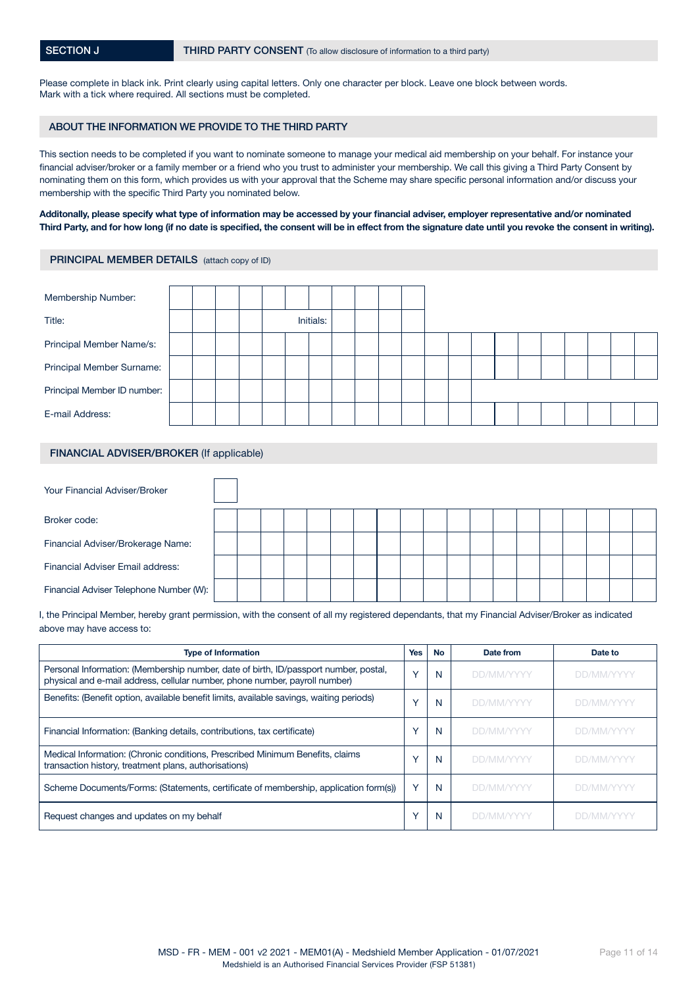Please complete in black ink. Print clearly using capital letters. Only one character per block. Leave one block between words. Mark with a tick where required. All sections must be completed.

#### ABOUT THE INFORMATION WE PROVIDE TO THE THIRD PARTY

This section needs to be completed if you want to nominate someone to manage your medical aid membership on your behalf. For instance your financial adviser/broker or a family member or a friend who you trust to administer your membership. We call this giving a Third Party Consent by nominating them on this form, which provides us with your approval that the Scheme may share specific personal information and/or discuss your membership with the specific Third Party you nominated below.

#### Additonally, please specify what type of information may be accessed by your financial adviser, employer representative and/or nominated Third Party, and for how long (if no date is specified, the consent will be in effect from the signature date until you revoke the consent in writing).

#### PRINCIPAL MEMBER DETAILS (attach copy of ID)

| Membership Number:          |  |  |  |           |  |  |  |  |  |  |  |
|-----------------------------|--|--|--|-----------|--|--|--|--|--|--|--|
| Title:                      |  |  |  | Initials: |  |  |  |  |  |  |  |
| Principal Member Name/s:    |  |  |  |           |  |  |  |  |  |  |  |
| Principal Member Surname:   |  |  |  |           |  |  |  |  |  |  |  |
| Principal Member ID number: |  |  |  |           |  |  |  |  |  |  |  |
| E-mail Address:             |  |  |  |           |  |  |  |  |  |  |  |

#### FINANCIAL ADVISER/BROKER (If applicable)

| Your Financial Adviser/Broker           |  |  |  |  |  |  |  |  |  |  |
|-----------------------------------------|--|--|--|--|--|--|--|--|--|--|
| Broker code:                            |  |  |  |  |  |  |  |  |  |  |
| Financial Adviser/Brokerage Name:       |  |  |  |  |  |  |  |  |  |  |
| Financial Adviser Email address:        |  |  |  |  |  |  |  |  |  |  |
| Financial Adviser Telephone Number (W): |  |  |  |  |  |  |  |  |  |  |

I, the Principal Member, hereby grant permission, with the consent of all my registered dependants, that my Financial Adviser/Broker as indicated above may have access to:

| <b>Type of Information</b>                                                                                                                                          | Yes          | <b>No</b> | Date from         | Date to           |
|---------------------------------------------------------------------------------------------------------------------------------------------------------------------|--------------|-----------|-------------------|-------------------|
| Personal Information: (Membership number, date of birth, ID/passport number, postal,<br>physical and e-mail address, cellular number, phone number, payroll number) | $\sqrt{}$    | N         | <b>DD/MM/YYYY</b> | <b>DD/MM/YYYY</b> |
| Benefits: (Benefit option, available benefit limits, available savings, waiting periods)                                                                            | $\sqrt{}$    | N         | <b>DD/MM/YYYY</b> | <b>DD/MM/YYYY</b> |
| Financial Information: (Banking details, contributions, tax certificate)                                                                                            |              | N         | <b>DD/MM/YYYY</b> | <b>DD/MM/YYYY</b> |
| Medical Information: (Chronic conditions, Prescribed Minimum Benefits, claims<br>transaction history, treatment plans, authorisations)                              |              | N         | <b>DD/MM/YYYY</b> | <b>DD/MM/YYYY</b> |
| Scheme Documents/Forms: (Statements, certificate of membership, application form(s))                                                                                | $\checkmark$ | N         | <b>DD/MM/YYYY</b> | <b>DD/MM/YYYY</b> |
| Request changes and updates on my behalf                                                                                                                            |              | N         | DD/MM/YYYY        | DD/MM/YYYY        |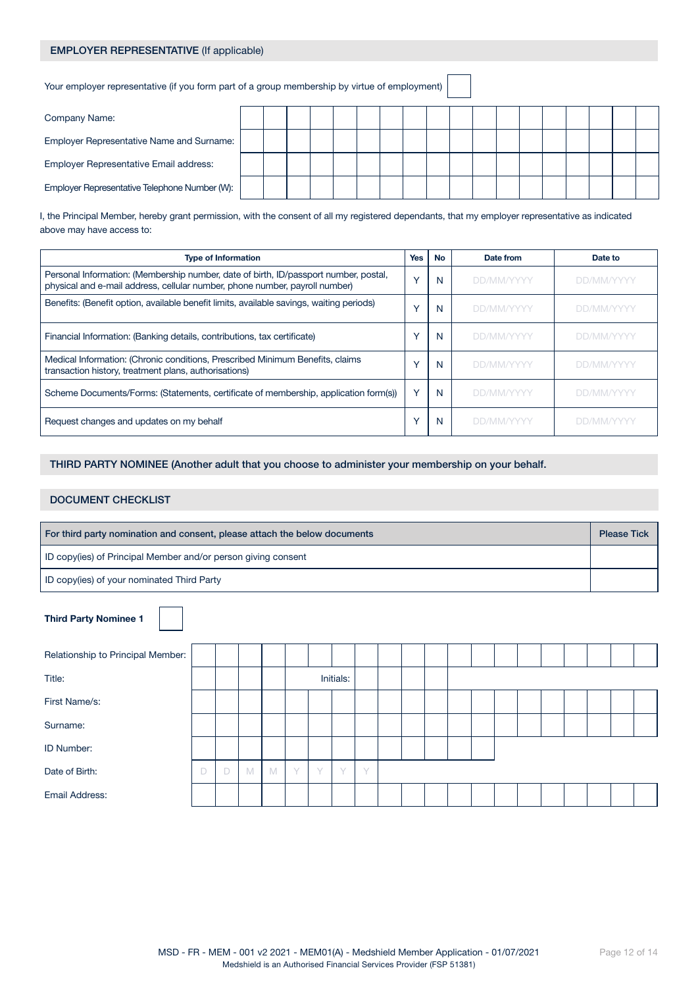# EMPLOYER REPRESENTATIVE (If applicable)

Your employer representative (if you form part of a group membership by virtue of employment)

| Company Name:                                 |  |  |  |  |  |  |  |  |  |
|-----------------------------------------------|--|--|--|--|--|--|--|--|--|
| Employer Representative Name and Surname:     |  |  |  |  |  |  |  |  |  |
| Employer Representative Email address:        |  |  |  |  |  |  |  |  |  |
| Employer Representative Telephone Number (W): |  |  |  |  |  |  |  |  |  |

I, the Principal Member, hereby grant permission, with the consent of all my registered dependants, that my employer representative as indicated above may have access to:

| <b>Type of Information</b>                                                                                                                                          | <b>Yes</b>   | <b>No</b> | Date from         | Date to           |
|---------------------------------------------------------------------------------------------------------------------------------------------------------------------|--------------|-----------|-------------------|-------------------|
| Personal Information: (Membership number, date of birth, ID/passport number, postal,<br>physical and e-mail address, cellular number, phone number, payroll number) |              | N         | <b>DD/MM/YYYY</b> | <b>DD/MM/YYYY</b> |
| Benefits: (Benefit option, available benefit limits, available savings, waiting periods)                                                                            |              | N         | <b>DD/MM/YYYY</b> | DD/MM/YYYY        |
| Financial Information: (Banking details, contributions, tax certificate)                                                                                            |              | N         | <b>DD/MM/YYYY</b> | <b>DD/MM/YYYY</b> |
| Medical Information: (Chronic conditions, Prescribed Minimum Benefits, claims<br>transaction history, treatment plans, authorisations)                              |              | N         | <b>DD/MM/YYYY</b> | <b>DD/MM/YYYY</b> |
| Scheme Documents/Forms: (Statements, certificate of membership, application form(s))                                                                                | $\checkmark$ | N         | <b>DD/MM/YYYY</b> | <b>DD/MM/YYYY</b> |
| Request changes and updates on my behalf                                                                                                                            |              | N         | <b>DD/MM/YYYY</b> | <b>DD/MM/YYYY</b> |

THIRD PARTY NOMINEE (Another adult that you choose to administer your membership on your behalf.

## DOCUMENT CHECKLIST

| For third party nomination and consent, please attach the below documents |  |  |  |  |  |  |  |  |
|---------------------------------------------------------------------------|--|--|--|--|--|--|--|--|
| ID copy(ies) of Principal Member and/or person giving consent             |  |  |  |  |  |  |  |  |
| ID copy(ies) of your nominated Third Party                                |  |  |  |  |  |  |  |  |

| <b>Third Party Nominee 1</b>      |   |   |   |   |        |           |           |        |  |  |  |  |  |  |
|-----------------------------------|---|---|---|---|--------|-----------|-----------|--------|--|--|--|--|--|--|
| Relationship to Principal Member: |   |   |   |   |        |           |           |        |  |  |  |  |  |  |
| Title:                            |   |   |   |   |        |           | Initials: |        |  |  |  |  |  |  |
| First Name/s:                     |   |   |   |   |        |           |           |        |  |  |  |  |  |  |
| Surname:                          |   |   |   |   |        |           |           |        |  |  |  |  |  |  |
| <b>ID Number:</b>                 |   |   |   |   |        |           |           |        |  |  |  |  |  |  |
| Date of Birth:                    | D | D | M | M | $\vee$ | $\sqrt{}$ | $\sqrt{}$ | $\vee$ |  |  |  |  |  |  |
| <b>Email Address:</b>             |   |   |   |   |        |           |           |        |  |  |  |  |  |  |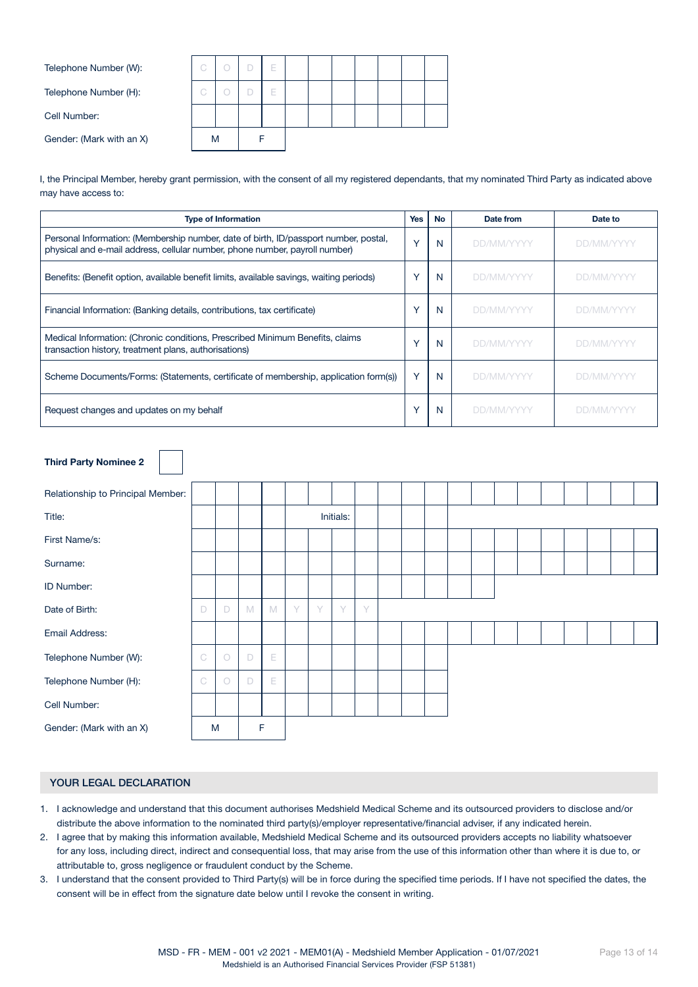| Telephone Number (W):    | C. |  |  | ⊢ |  |  |  |  |
|--------------------------|----|--|--|---|--|--|--|--|
| Telephone Number (H):    | G  |  |  | ь |  |  |  |  |
| Cell Number:             |    |  |  |   |  |  |  |  |
| Gender: (Mark with an X) | M  |  |  |   |  |  |  |  |
|                          |    |  |  |   |  |  |  |  |

I, the Principal Member, hereby grant permission, with the consent of all my registered dependants, that my nominated Third Party as indicated above may have access to:

| <b>Type of Information</b>                                                                                                                                          | <b>Yes</b>   | No | Date from         | Date to           |
|---------------------------------------------------------------------------------------------------------------------------------------------------------------------|--------------|----|-------------------|-------------------|
| Personal Information: (Membership number, date of birth, ID/passport number, postal,<br>physical and e-mail address, cellular number, phone number, payroll number) | $\checkmark$ | N  | DD/MM/YYYY        | <b>DD/MM/YYYY</b> |
| Benefits: (Benefit option, available benefit limits, available savings, waiting periods)                                                                            | $\checkmark$ | N  | <b>DD/MM/YYYY</b> | <b>DD/MM/YYYY</b> |
| Financial Information: (Banking details, contributions, tax certificate)                                                                                            | $\checkmark$ | N  | DD/MM/YYYY        | <b>DD/MM/YYYY</b> |
| Medical Information: (Chronic conditions, Prescribed Minimum Benefits, claims<br>transaction history, treatment plans, authorisations)                              | $\checkmark$ | N  | <b>DD/MM/YYYY</b> | <b>DD/MM/YYYY</b> |
| Scheme Documents/Forms: (Statements, certificate of membership, application form(s))                                                                                | $\checkmark$ | N  | DD/MM/YYYY        | <b>DD/MM/YYYY</b> |
| Request changes and updates on my behalf                                                                                                                            | $\checkmark$ | N  | DD/MM/YYYY        | DD/MM/YYYY        |

| <b>Third Party Nominee 2</b>      |               |         |   |             |   |        |           |   |  |  |  |  |  |  |
|-----------------------------------|---------------|---------|---|-------------|---|--------|-----------|---|--|--|--|--|--|--|
| Relationship to Principal Member: |               |         |   |             |   |        |           |   |  |  |  |  |  |  |
| Title:                            |               |         |   |             |   |        | Initials: |   |  |  |  |  |  |  |
| First Name/s:                     |               |         |   |             |   |        |           |   |  |  |  |  |  |  |
| Surname:                          |               |         |   |             |   |        |           |   |  |  |  |  |  |  |
| ID Number:                        |               |         |   |             |   |        |           |   |  |  |  |  |  |  |
| Date of Birth:                    | D             | D       | M | M           | Y | $\vee$ | Y         | Y |  |  |  |  |  |  |
| Email Address:                    |               |         |   |             |   |        |           |   |  |  |  |  |  |  |
| Telephone Number (W):             | $\mathsf{C}$  | $\circ$ | D | E           |   |        |           |   |  |  |  |  |  |  |
| Telephone Number (H):             | $\mathcal{C}$ | $\circ$ | D | $\mathsf E$ |   |        |           |   |  |  |  |  |  |  |
| Cell Number:                      |               |         |   |             |   |        |           |   |  |  |  |  |  |  |
| Gender: (Mark with an X)          |               | M       |   | F           |   |        |           |   |  |  |  |  |  |  |

## YOUR LEGAL DECLARATION

- 1. I acknowledge and understand that this document authorises Medshield Medical Scheme and its outsourced providers to disclose and/or distribute the above information to the nominated third party(s)/employer representative/financial adviser, if any indicated herein.
- 2. I agree that by making this information available, Medshield Medical Scheme and its outsourced providers accepts no liability whatsoever for any loss, including direct, indirect and consequential loss, that may arise from the use of this information other than where it is due to, or attributable to, gross negligence or fraudulent conduct by the Scheme.
- 3. I understand that the consent provided to Third Party(s) will be in force during the specified time periods. If I have not specified the dates, the consent will be in effect from the signature date below until I revoke the consent in writing.